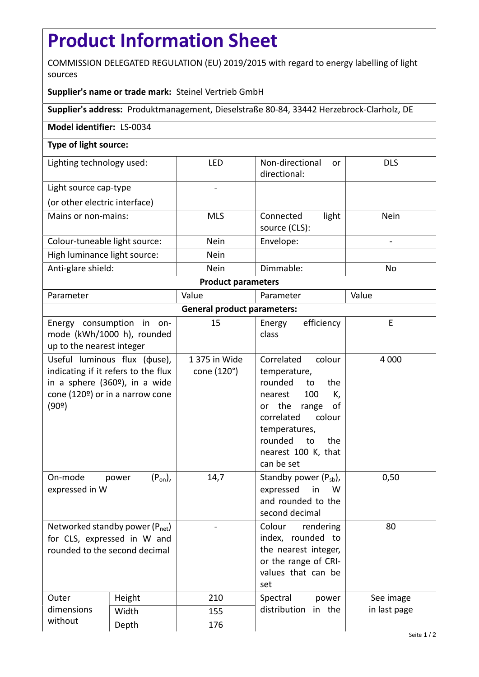## **Product Information Sheet**

COMMISSION DELEGATED REGULATION (EU) 2019/2015 with regard to energy labelling of light sources

## **Supplier's name or trade mark:** Steinel Vertrieb GmbH

**Supplier's address:** Produktmanagement, Dieselstraße 80-84, 33442 Herzebrock-Clarholz, DE

## **Model identifier:** LS-0034

## **Type of light source:**

| Lighting technology used:     | LFD         | Non-directional<br>or<br>directional: | <b>DLS</b>  |  |  |  |
|-------------------------------|-------------|---------------------------------------|-------------|--|--|--|
| Light source cap-type         |             |                                       |             |  |  |  |
| (or other electric interface) |             |                                       |             |  |  |  |
| Mains or non-mains:           | <b>MLS</b>  | light<br>Connected<br>source (CLS):   | <b>Nein</b> |  |  |  |
| Colour-tuneable light source: | <b>Nein</b> | Envelope:                             |             |  |  |  |
| High luminance light source:  | <b>Nein</b> |                                       |             |  |  |  |
| Anti-glare shield:            | <b>Nein</b> | Dimmable:                             | No          |  |  |  |
| <b>Product parameters</b>     |             |                                       |             |  |  |  |

| Parameter                          |                                                                                                                                                             | Value                        | Parameter                                                                                                                                                                                                           | Value        |  |  |
|------------------------------------|-------------------------------------------------------------------------------------------------------------------------------------------------------------|------------------------------|---------------------------------------------------------------------------------------------------------------------------------------------------------------------------------------------------------------------|--------------|--|--|
| <b>General product parameters:</b> |                                                                                                                                                             |                              |                                                                                                                                                                                                                     |              |  |  |
| up to the nearest integer          | Energy consumption in on-<br>mode (kWh/1000 h), rounded                                                                                                     | 15                           | efficiency<br>Energy<br>class                                                                                                                                                                                       | E            |  |  |
| (90°)                              | Useful luminous flux ( $\phi$ use),<br>indicating if it refers to the flux<br>in a sphere (360 <sup>o</sup> ), in a wide<br>cone (120º) or in a narrow cone | 1 375 in Wide<br>cone (120°) | Correlated<br>colour<br>temperature,<br>rounded<br>the<br>to<br>100<br>K,<br>nearest<br>or the<br>range<br>οf<br>correlated<br>colour<br>temperatures,<br>rounded<br>to<br>the<br>nearest 100 K, that<br>can be set | 4 0 0 0      |  |  |
| On-mode<br>expressed in W          | $(P_{on})$ ,<br>power                                                                                                                                       | 14,7                         | Standby power $(P_{sb})$ ,<br>expressed<br>in<br>W<br>and rounded to the<br>second decimal                                                                                                                          | 0,50         |  |  |
| rounded to the second decimal      | Networked standby power $(P_{net})$<br>for CLS, expressed in W and                                                                                          |                              | Colour rendering<br>index, rounded to<br>the nearest integer,<br>or the range of CRI-<br>values that can be<br>set                                                                                                  | 80           |  |  |
| Outer<br>dimensions<br>without     | Height                                                                                                                                                      | 210                          | Spectral<br>power<br>distribution<br>in the                                                                                                                                                                         | See image    |  |  |
|                                    | Width                                                                                                                                                       | 155                          |                                                                                                                                                                                                                     | in last page |  |  |
|                                    | Depth                                                                                                                                                       | 176                          |                                                                                                                                                                                                                     |              |  |  |